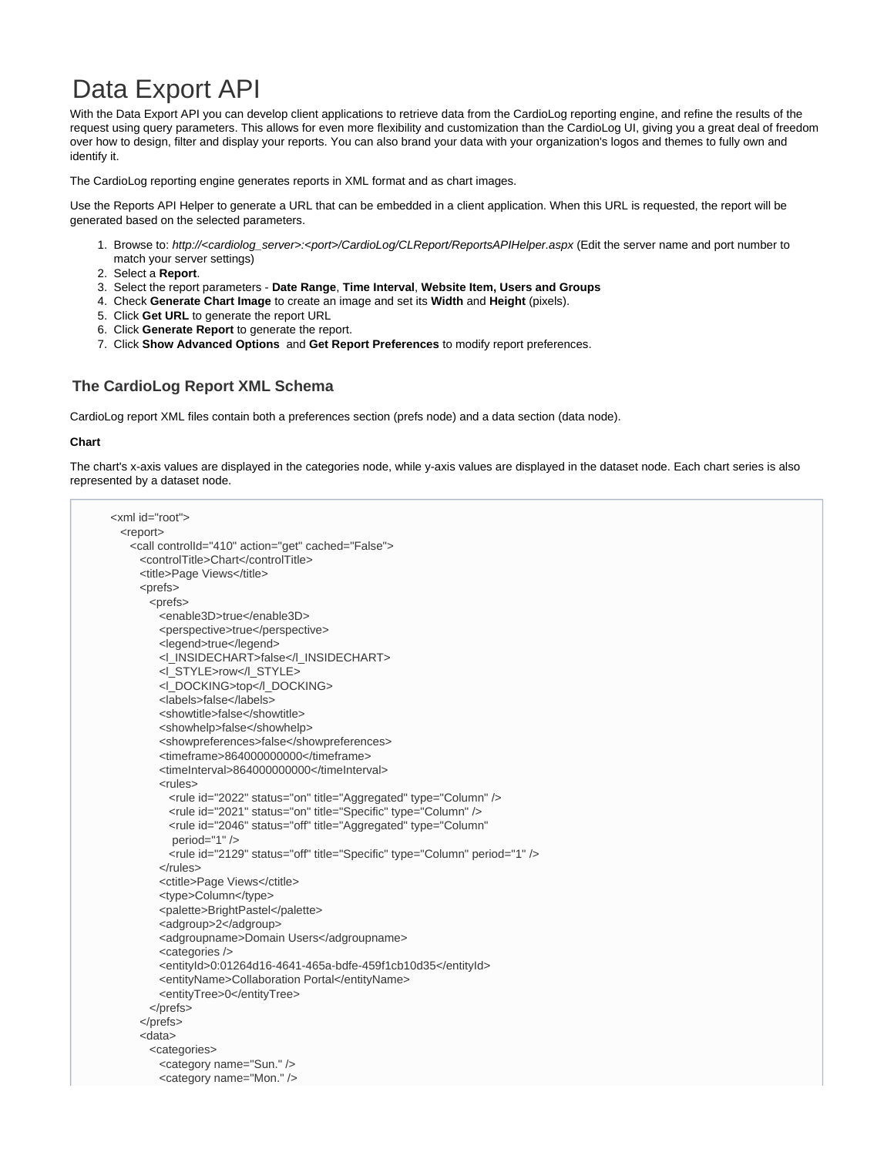# Data Export API

With the Data Export API you can develop client applications to retrieve data from the CardioLog reporting engine, and refine the results of the request using query parameters. This allows for even more flexibility and customization than the CardioLog UI, giving you a great deal of freedom over how to design, filter and display your reports. You can also brand your data with your organization's logos and themes to fully own and identify it.

The CardioLog reporting engine generates reports in XML format and as chart images.

Use the Reports API Helper to generate a URL that can be embedded in a client application. When this URL is requested, the report will be generated based on the selected parameters.

- 1. Browse to: http://<cardiolog\_server>:<port>/CardioLog/CLReport/ReportsAPIHelper.aspx (Edit the server name and port number to match your server settings)
- 2. Select a **Report**.
- 3. Select the report parameters **Date Range**, **Time Interval**, **Website Item, Users and Groups**
- 4. Check **Generate Chart Image** to create an image and set its **Width** and **Height** (pixels).
- 5. Click **Get URL** to generate the report URL
- 6. Click **Generate Report** to generate the report.
- 7. Click **Show Advanced Options** and **Get Report Preferences** to modify report preferences.

### **The CardioLog Report XML Schema**

CardioLog report XML files contain both a preferences section (prefs node) and a data section (data node).

#### **Chart**

The chart's x-axis values are displayed in the categories node, while y-axis values are displayed in the dataset node. Each chart series is also represented by a dataset node.

```
<xml id="root">
 <report>
    <call controlId="410" action="get" cached="False">
      <controlTitle>Chart</controlTitle>
     <title>Page Views</title>
      <prefs>
        <prefs>
          <enable3D>true</enable3D>
          <perspective>true</perspective>
          <legend>true</legend>
          <l_INSIDECHART>false</l_INSIDECHART>
          <l_STYLE>row</l_STYLE>
          <l_DOCKING>top</l_DOCKING>
          <labels>false</labels>
          <showtitle>false</showtitle>
         <showhelp>false</showhelp>
         <showpreferences>false</showpreferences>
          <timeframe>864000000000</timeframe>
          <timeInterval>864000000000</timeInterval>
         \n  -rule<sub>1</sub>\n <rule id="2022" status="on" title="Aggregated" type="Column" />
            <rule id="2021" status="on" title="Specific" type="Column" />
            <rule id="2046" status="off" title="Aggregated" type="Column"
            period="1" />
            <rule id="2129" status="off" title="Specific" type="Column" period="1" />
          </rules>
          <ctitle>Page Views</ctitle>
          <type>Column</type>
          <palette>BrightPastel</palette>
          <adgroup>2</adgroup>
          <adgroupname>Domain Users</adgroupname>
          <categories />
          <entityId>0:01264d16-4641-465a-bdfe-459f1cb10d35</entityId>
          <entityName>Collaboration Portal</entityName>
          <entityTree>0</entityTree>
        </prefs>
      </prefs>
      <data>
        <categories>
          <category name="Sun." />
          <category name="Mon." />
```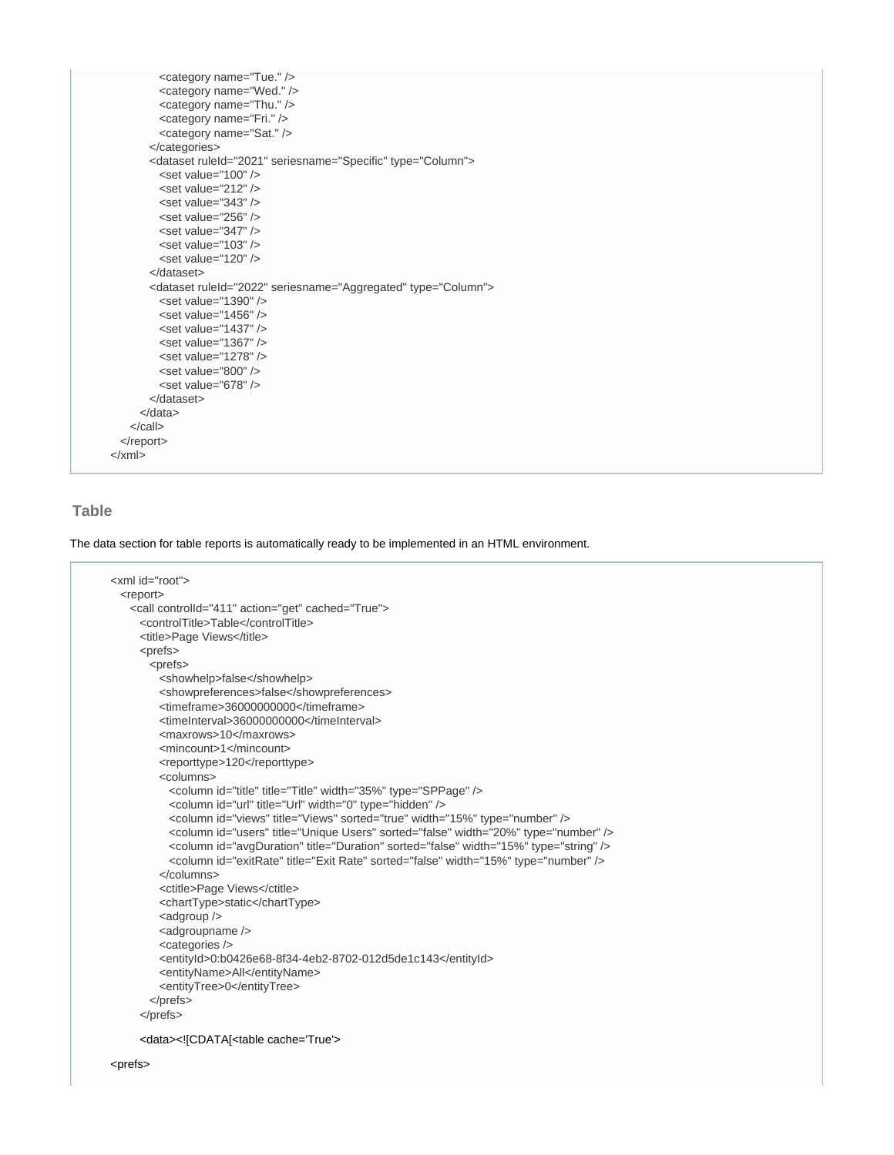```
 <category name="Tue." />
          <category name="Wed." />
          <category name="Thu." />
          <category name="Fri." />
          <category name="Sat." />
        </categories>
       <dataset ruleId="2021" seriesname="Specific" type="Column">
         \epsilonset value="100" />
         <set value="212" />
         <set value="343" />
         <set value="256" />
         <set value="347" />
         <set value="103" />
         <set value="120" />
        </dataset>
       <dataset ruleId="2022" seriesname="Aggregated" type="Column">
         <set value="1390" />
         <set value="1456" />
         <set value="1437" />
         <set value="1367" />
          <set value="1278" />
         <set value="800" />
         <set value="678" />
        </dataset>
      </data>
    </call>
  </report>
</xml>
```
### **Table**

The data section for table reports is automatically ready to be implemented in an HTML environment.

```
<xml id="root">
  <report>
    <call controlId="411" action="get" cached="True">
      <controlTitle>Table</controlTitle>
     <title>Page Views</title>
      <prefs>
        <prefs>
         <showhelp>false</showhelp>
         <showpreferences>false</showpreferences>
          <timeframe>36000000000</timeframe>
          <timeInterval>36000000000</timeInterval>
          <maxrows>10</maxrows>
          <mincount>1</mincount>
          <reporttype>120</reporttype>
          <columns>
           <column id="title" title="Title" width="35%" type="SPPage" />
            <column id="url" title="Url" width="0" type="hidden" />
            <column id="views" title="Views" sorted="true" width="15%" type="number" />
            <column id="users" title="Unique Users" sorted="false" width="20%" type="number" />
            <column id="avgDuration" title="Duration" sorted="false" width="15%" type="string" />
            <column id="exitRate" title="Exit Rate" sorted="false" width="15%" type="number" />
          </columns>
          <ctitle>Page Views</ctitle>
          <chartType>static</chartType>
         <adgroup />
         <adgroupname />
          <categories />
          <entityId>0:b0426e68-8f34-4eb2-8702-012d5de1c143</entityId>
          <entityName>All</entityName>
          <entityTree>0</entityTree>
        </prefs>
      </prefs>
      <data><![CDATA[<table cache='True'>
```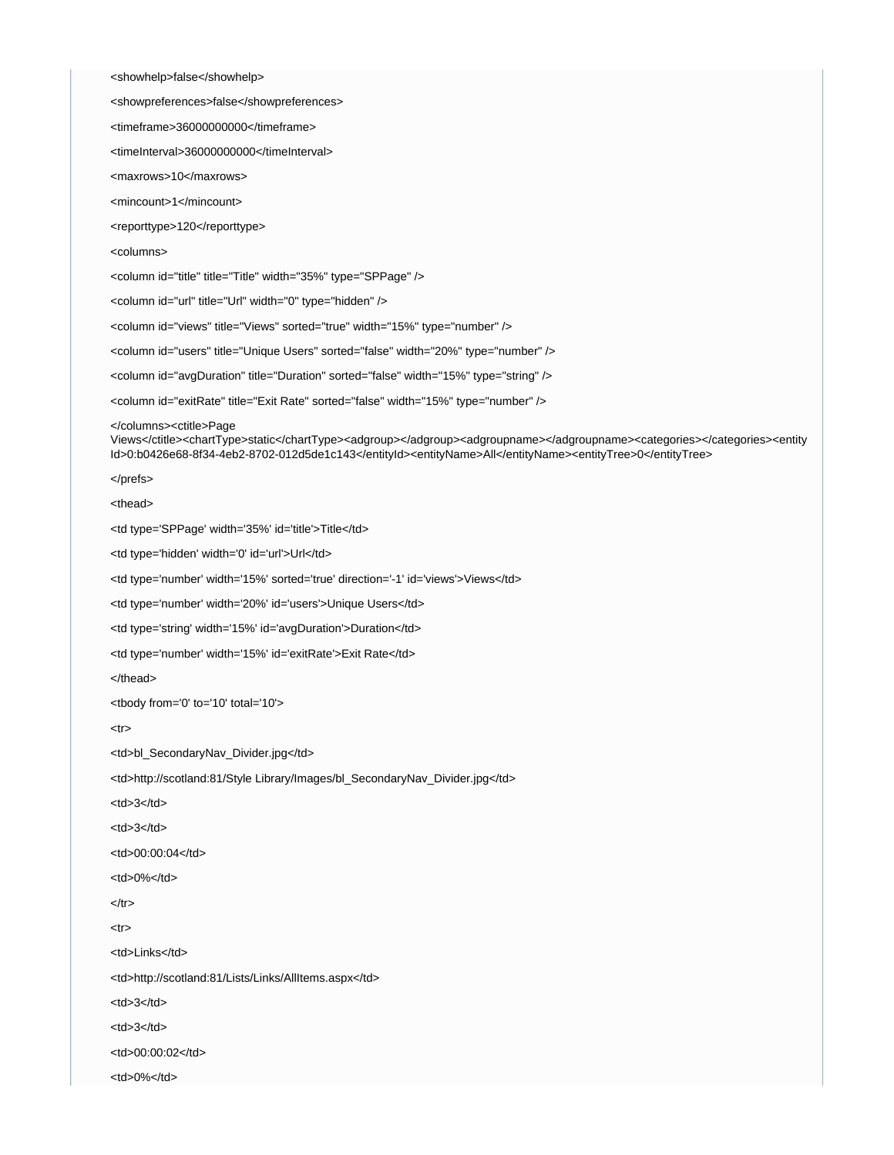<showhelp>false</showhelp>

<showpreferences>false</showpreferences>

<timeframe>36000000000</timeframe>

<timeInterval>36000000000</timeInterval>

<maxrows>10</maxrows>

<mincount>1</mincount>

<reporttype>120</reporttype>

<columns>

<column id="title" title="Title" width="35%" type="SPPage" />

<column id="url" title="Url" width="0" type="hidden" />

<column id="views" title="Views" sorted="true" width="15%" type="number" />

<column id="users" title="Unique Users" sorted="false" width="20%" type="number" />

<column id="avgDuration" title="Duration" sorted="false" width="15%" type="string" />

<column id="exitRate" title="Exit Rate" sorted="false" width="15%" type="number" />

#### </columns><ctitle>Page

Views</ctitle><chartType>static</chartType><adgroup></adgroup><adgroupname></adgroupname><categories></categories><entity Id>0:b0426e68-8f34-4eb2-8702-012d5de1c143</entityId><entityName>All</entityName><entityTree>0</entityTree>

</prefs>

<thead>

<td type='SPPage' width='35%' id='title'>Title</td>

<td type='hidden' width='0' id='url'>Url</td>

<td type='number' width='15%' sorted='true' direction='-1' id='views'>Views</td>

<td type='number' width='20%' id='users'>Unique Users</td>

<td type='string' width='15%' id='avgDuration'>Duration</td>

<td type='number' width='15%' id='exitRate'>Exit Rate</td>

</thead>

<tbody from='0' to='10' total='10'>

 $<$ tr $>$ 

<td>bl\_SecondaryNav\_Divider.jpg</td>

<td>http://scotland:81/Style Library/Images/bl\_SecondaryNav\_Divider.jpg</td>

<td>3</td>

<td>3</td>

<td>00:00:04</td>

<td>0%</td>

 $<$ /tr $>$ 

 $<$ tr $>$ 

<td>Links</td>

<td>http://scotland:81/Lists/Links/AllItems.aspx</td>

<td>3</td>

<td>3</td>

<td>00:00:02</td>

<td>0%</td>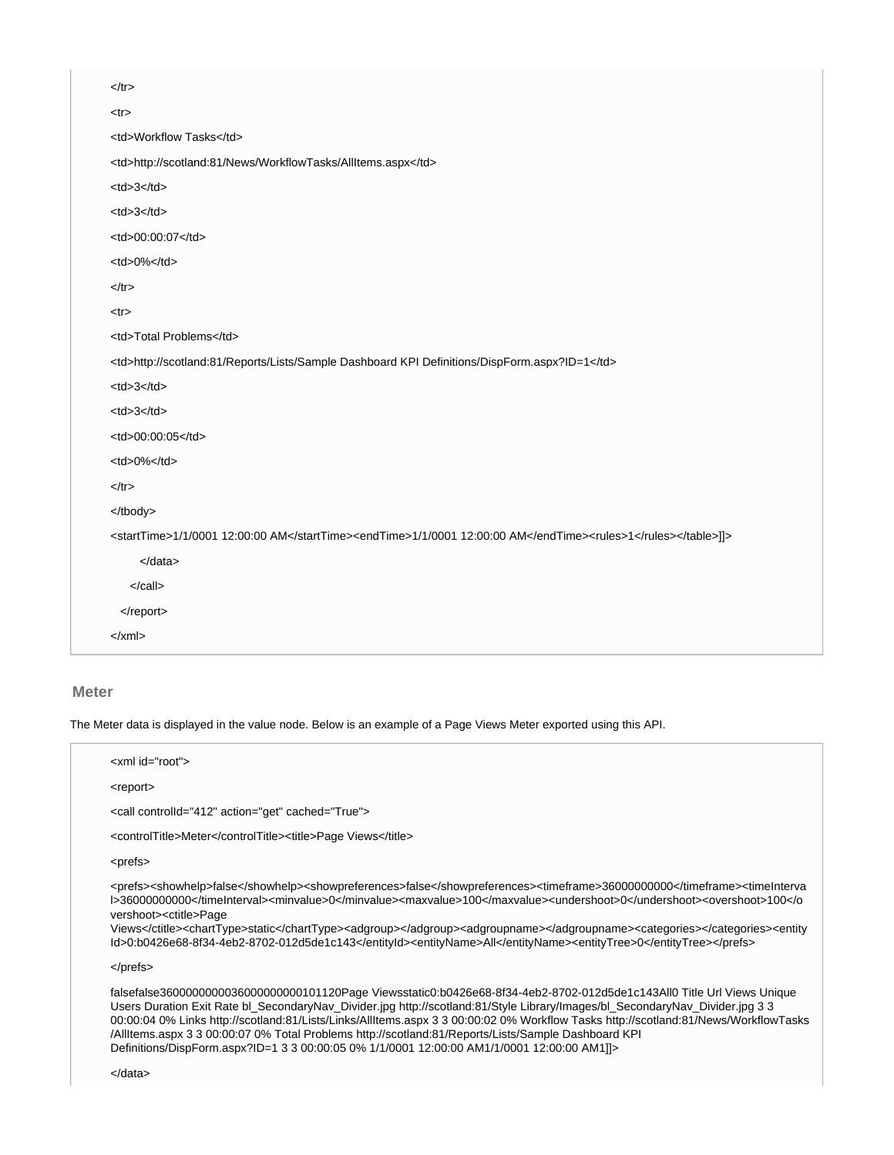| $<$ /tr $>$                                                                                          |                                                                                      |
|------------------------------------------------------------------------------------------------------|--------------------------------------------------------------------------------------|
| $<$ tr $>$                                                                                           |                                                                                      |
| <td>Workflow Tasks</td>                                                                              | Workflow Tasks                                                                       |
| <td>http://scotland:81/News/WorkflowTasks/AllItems.aspx</td>                                         | http://scotland:81/News/WorkflowTasks/AllItems.aspx                                  |
| $<$ td>3 $<$ /td>                                                                                    |                                                                                      |
| $<$ td>3 $<$ /td>                                                                                    |                                                                                      |
| <td>00:00:07</td>                                                                                    | 00:00:07                                                                             |
| <td>0%</td>                                                                                          | 0%                                                                                   |
| $<$ /tr $>$                                                                                          |                                                                                      |
| $<$ tr $>$                                                                                           |                                                                                      |
| <td>Total Problems</td>                                                                              | Total Problems                                                                       |
| <td>http://scotland:81/Reports/Lists/Sample Dashboard KPI Definitions/DispForm.aspx?ID=1</td>        | http://scotland:81/Reports/Lists/Sample Dashboard KPI Definitions/DispForm.aspx?ID=1 |
| $<$ td>3 $<$ /td>                                                                                    |                                                                                      |
| $<$ td>3 $<$ /td>                                                                                    |                                                                                      |
| <td>00:00:05</td>                                                                                    | 00:00:05                                                                             |
| <td>0%</td>                                                                                          | 0%                                                                                   |
| $<$ /tr $>$                                                                                          |                                                                                      |
|                                                                                                      |                                                                                      |
| <starttime>1/1/0001 12:00:00 AM</starttime> <endtime>1/1/0001 12:00:00 AM</endtime> <rules>1</rules> |                                                                                      |

]]>| $\alpha$ data> |
| $<$ /call> |
|  |
| $\langle x$ ml $\rangle$ |
## **Meter**

The Meter data is displayed in the value node. Below is an example of a Page Views Meter exported using this API.

| $\le$ xml id="root">                                                                                                                                                                                                                                                                                                                                                                                                                                                                                                                         |
|----------------------------------------------------------------------------------------------------------------------------------------------------------------------------------------------------------------------------------------------------------------------------------------------------------------------------------------------------------------------------------------------------------------------------------------------------------------------------------------------------------------------------------------------|
| <report></report>                                                                                                                                                                                                                                                                                                                                                                                                                                                                                                                            |
| <call action="get" cached="True" controlld="412"></call>                                                                                                                                                                                                                                                                                                                                                                                                                                                                                     |
| <controltitle>Meter</controltitle> <title>Page Views</title>                                                                                                                                                                                                                                                                                                                                                                                                                                                                                 |
| <prefs></prefs>                                                                                                                                                                                                                                                                                                                                                                                                                                                                                                                              |
| <prefs><showhelp>false</showhelp><showpreferences>false</showpreferences><timeframe>3600000000</timeframe><timelnterva<br>l&gt;3600000000<minvalue>0</minvalue><maxvalue>100</maxvalue><undershoot>0</undershoot><overshoot>100vershoot&gt;<ctitle>Page<br/>Views</ctitle><charttype>static</charttype><adgroup></adgroup><adgroupname></adgroupname><categories></categories><entity<br>ld&gt;0:b0426e68-8f34-4eb2-8702-012d5de1c143<entityname>All</entityname><entitytree>0</entitytree></entity<br></overshoot></timelnterva<br></prefs> |
| $<$ /prefs $>$                                                                                                                                                                                                                                                                                                                                                                                                                                                                                                                               |
| falsefalse3600000000036000000000101120Page Viewsstatic0:b0426e68-8f34-4eb2-8702-012d5de1c143All0 Title Url Views Unique<br>Users Duration Exit Rate bl SecondaryNav Divider.jpg http://scotland:81/Style Library/Images/bl SecondaryNav Divider.jpg 3 3<br>00:00:04.0% Links http://scotland:81/Lists/Links/AllItems asnx 3.3.00:00:02.0% Workflow Tasks http://scotland:81/News/WorkflowTasks                                                                                                                                               |

00:00:04 0% Links http://scotland:81/Lists/Links/AllItems.aspx 3 3 00:00:02 0% Workflow Tasks http://scotland:81/News/WorkflowTasks /AllItems.aspx 3 3 00:00:07 0% Total Problems http://scotland:81/Reports/Lists/Sample Dashboard KPI Definitions/DispForm.aspx?ID=1 3 3 00:00:05 0% 1/1/0001 12:00:00 AM1/1/0001 12:00:00 AM1]]>

</data>